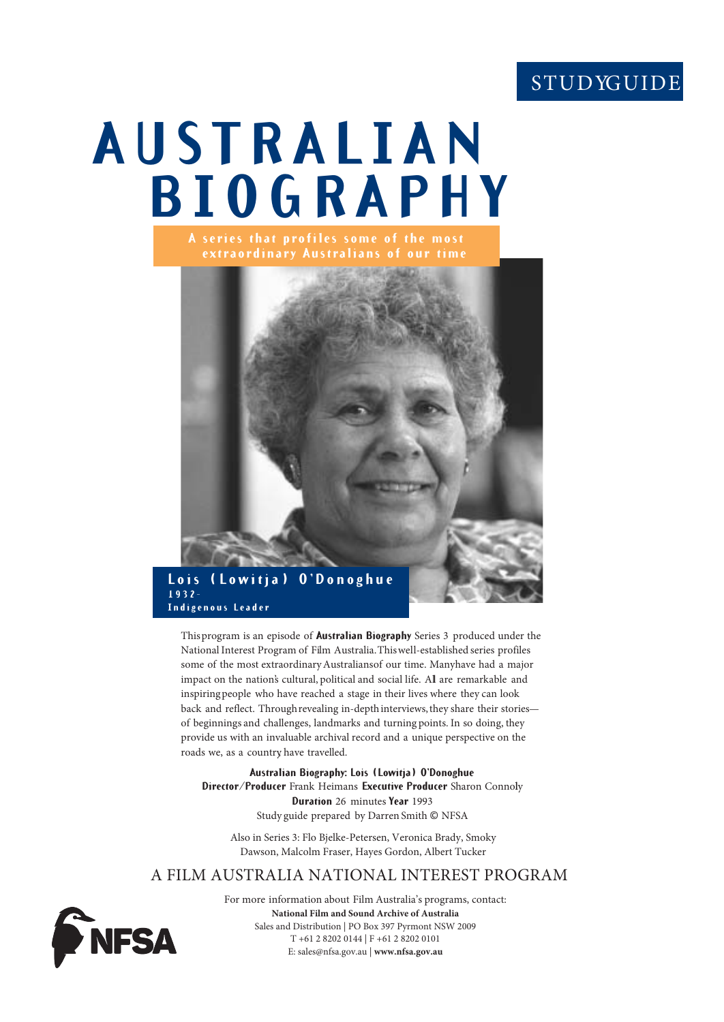## **STUDYGUIDE**

# **AUSTRALIAN BIOGRAPHY A series that profiles some of the most**



**Indigenous Leader**

This program is an episode of **Australian Biography** Series 3 produced under the National Interest Program of Film Australia. This well-established series profiles some of the most extraordinary Australians of our time. Many have had a major impact on the nation's cultural, political and social life. All are remarkable and inspiring people who have reached a stage in their lives where they can look back and reflect. Through revealing in-depth interviews, they share their stories of beginnings and challenges, landmarks and turning points. In so doing, they provide us with an invaluable archival record and a unique perspective on the roads we, as a country have travelled.

**Australian Biography: Lois (Lowitja) O'Donoghue Director/Producer** Frank Heimans **Executive Producer** Sharon Connoly **Duration** 26 minutes **Year** 1993 Study guide prepared by Darren Smith © NFSA

Also in Series 3: Flo Bjelke-Petersen, Veronica Brady, Smoky Dawson, Malcolm Fraser, Hayes Gordon, Albert Tucker

## A FILM AUSTRALIA NATIONAL INTEREST PROGRAM

For more information about Film Australia's programs, contact: **National Film and Sound Archive of Australia** Sales and Distribution | PO Box 397 Pyrmont NSW 2009 T +61 2 8202 0144 | F +61 2 8202 0101 E: sales@nfsa.gov.au | **www.nfsa.gov.au**

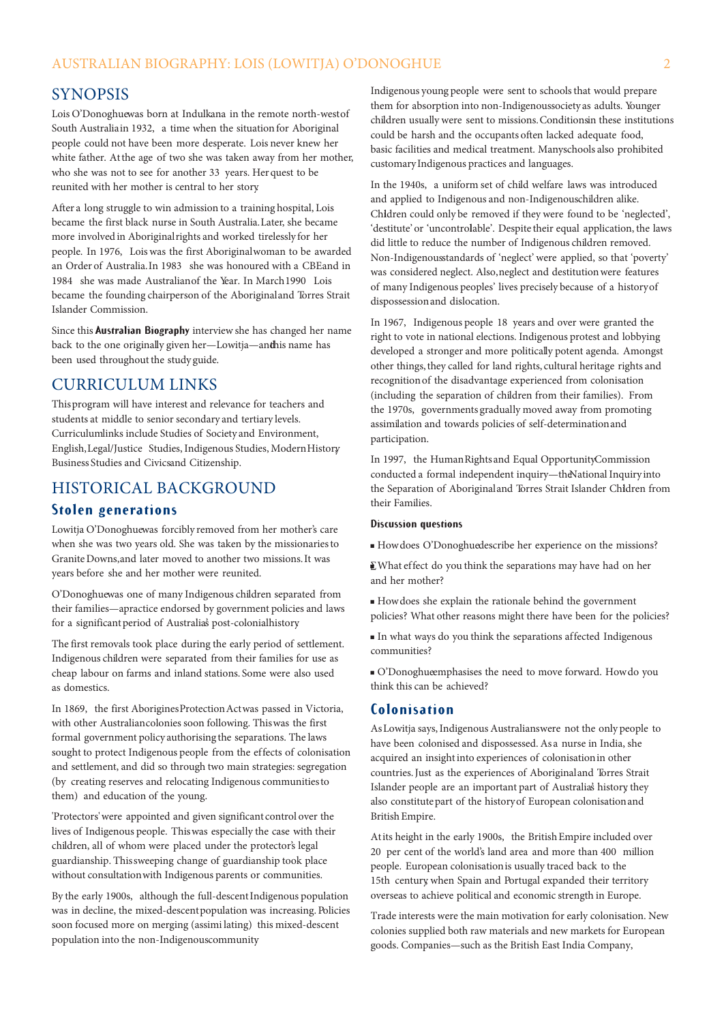## SYNOPSIS

Lois O'Donoghuewas born at Indulkana in the remote north-west of South Australia in 1932, a time when the situation for Aboriginal people could not have been more desperate. Lois never knew her white father. At the age of two she was taken away from her mother, who she was not to see for another 33 years. Her quest to be reunited with her mother is central to her story.

After a long struggle to win admission to a training hospital, Lois became the first black nurse in South Australia. Later, she became more involved in Aboriginal rights and worked tirelessly for her people. In 1976, Lois was the first Aboriginal woman to be awarded an Order of Australia. In 1983 she was honoured with a CBE and in 1984 she was made Australian of the Year. In March 1990 Lois became the founding chairperson of the Aboriginal and Torres Strait Islander Commission.

Since this **Australian Biography** interview she has changed her name back to the one originally given her-Lowitja-andhis name has been used throughout the study guide.

## CURRICULUM LINKS

This program will have interest and relevance for teachers and students at middle to senior secondary and tertiary levels. Curriculum links include Studies of Society and Environment, English, Legal/Justice Studies, Indigenous Studies, Modern History Business Studies and Civicsand Citizenship.

## HISTORICAL BACKGROUND

### **Stolen generations**

Lowitja O'Donoghuewas forcibly removed from her mother's care when she was two years old. She was taken by the missionaries to Granite Downs, and later moved to another two missions. It was years before she and her mother were reunited.

O'Donoghuewas one of many Indigenous children separated from their families—apractice endorsed by government policies and laws for a significant period of Australia's post-colonial history

The first removals took place during the early period of settlement. Indigenous children were separated from their families for use as cheap labour on farms and inland stations. Some were also used as domestics.

In 1869, the first Aborigines Protection Act was passed in Victoria, with other Australian colonies soon following. This was the first formal government policy authorising the separations. The laws sought to protect Indigenous people from the effects of colonisation and settlement, and did so through two main strategies: segregation (by creating reserves and relocating Indigenous communities to them) and education of the young.

'Protectors' were appointed and given significant control over the lives of Indigenous people. This was especially the case with their children, all of whom were placed under the protector's legal guardianship. This sweeping change of guardianship took place without consultation with Indigenous parents or communities.

By the early 1900s, although the full-descent Indigenous population was in decline, the mixed-descent population was increasing. Policies soon focused more on merging (assimi lating) this mixed-descent population into the non-Indigenous community

Indigenous young people were sent to schools that would prepare them for absorption into non-Indigenoussociety as adults. Younger children usually were sent to missions. Conditionsin these institutions could be harsh and the occupants often lacked adequate food, basic facilities and medical treatment. Manyschools also prohibited customary Indigenous practices and languages.

In the 1940s, a uniform set of child welfare laws was introduced and applied to Indigenous and non-Indigenous children alike. Children could only be removed if they were found to be 'neglected', 'destitute' or 'uncontrolable'. Despite their equal application, the laws did little to reduce the number of Indigenous children removed. Non-Indigenous tandards of 'neglect' were applied, so that 'poverty' was considered neglect. Also, neglect and destitution were features of many Indigenous peoples' lives precisely because of a history of dispossession and dislocation.

In 1967, Indigenous people 18 years and over were granted the right to vote in national elections. Indigenous protest and lobbying developed a stronger and more politically potent agenda. Amongst other things, they called for land rights, cultural heritage rights and recognition of the disadvantage experienced from colonisation (including the separation of children from their families). From the 1970s, governments gradually moved away from promoting assimilation and towards policies of self-determination and participation.

In 1997, the Human Rights and Equal Opportunity Commission conducted a formal independent inquiry—the National Inquiry into the Separation of Aboriginal and Torres Strait Islander Children from their Families.

#### **Discussion questions**

How does O'Donoghue describe her experience on the missions?

∑What effect do you think the separations may have had on her and her mother?

 How does she explain the rationale behind the government policies? What other reasons might there have been for the policies?

 In what ways do you think the separations affected Indigenous communities?

 $\blacksquare$  O'Donoghue emphasises the need to move forward. How do you think this can be achieved?

#### **Colonisation**

As Lowitja says, Indigenous Australians were not the only people to have been colonised and dispossessed. As a nurse in India, she acquired an insight into experiences of colonisation in other countries. Just as the experiences of Aboriginal and Torres Strait Islander people are an important part of Australia's history they also constitute part of the history of European colonisation and British Empire.

At its height in the early 1900s, the British Empire included over 20 per cent of the world's land area and more than 400 million people. European colonisation is usually traced back to the 15th century, when Spain and Portugal expanded their territory overseas to achieve political and economic strength in Europe.

Trade interests were the main motivation for early colonisation. New colonies supplied both raw materials and new markets for European goods. Companies—such as the British East India Company,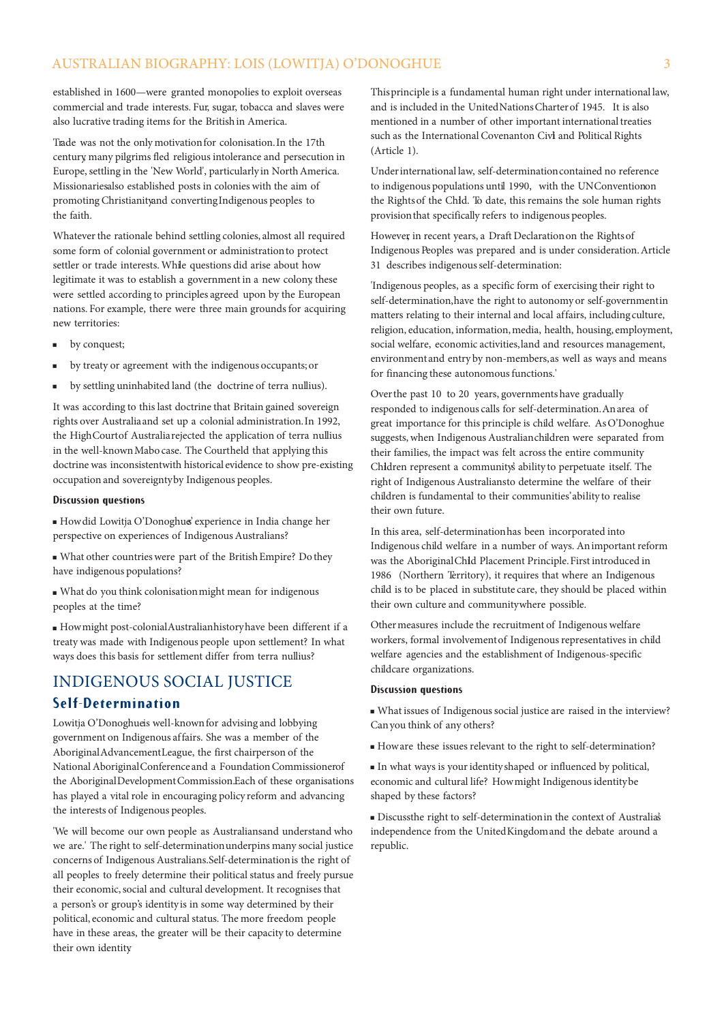## AUSTRALIAN BIOGRAPHY: LOIS (LOWITJA) O'DONOGHUE 3

established in 1600—were granted monopolies to exploit overseas commercial and trade interests. Fur, sugar, tobacca and slaves were also lucrative trading items for the British in America.

Trade was not the only motivation for colonisation. In the 17th century, many pilgrims fled religious intolerance and persecution in Europe, settling in the 'New World', particularly in North America. Missionaries also established posts in colonies with the aim of promoting Christianity and converting Indigenous peoples to the faith.

Whatever the rationale behind settling colonies, almost all required some form of colonial government or administration to protect settler or trade interests. While questions did arise about how legitimate it was to establish a government in a new colony these were settled according to principles agreed upon by the European nations. For example, there were three main grounds for acquiring new territories:

- **by conquest;**
- **by treaty or agreement with the indigenous occupants; or**
- by settling uninhabited land (the doctrine of terra nullius).

It was according to this last doctrine that Britain gained sovereign rights over Australia and set up a colonial administration. In 1992, the High Court of Australia rejected the application of terra nullius in the well-known Mabo case. The Courtheld that applying this doctrine was inconsistent with historical evidence to show pre-existing occupation and sovereignty by Indigenous peoples.

#### **Discussion questions**

 How did Lowitja O'Donoghue's experience in India change her perspective on experiences of Indigenous Australians?

 What other countries were part of the British Empire? Do they have indigenous populations?

 What do you think colonisation might mean for indigenous peoples at the time?

 How might post-colonial Australian history have been different if a treaty was made with Indigenous people upon settlement? In what ways does this basis for settlement differ from terra nullius?

## INDIGENOUS SOCIAL JUSTICE

#### **Self-Determination**

Lowitja O'Donoghueis well-known for advising and lobbying government on Indigenous affairs. She was a member of the Aboriginal Advancement League, the first chairperson of the National Aboriginal Conference and a Foundation Commissionerof the Aboriginal Development Commission. Each of these organisations has played a vital role in encouraging policy reform and advancing the interests of Indigenous peoples.

'We will become our own people as Australians and understand who we are.' The right to self-determination underpins many social justice concerns of Indigenous Australians. Self-determination is the right of all peoples to freely determine their political status and freely pursue their economic, social and cultural development. It recognises that a person's or group's identity is in some way determined by their political, economic and cultural status. The more freedom people have in these areas, the greater will be their capacity to determine their own identity.

This principle is a fundamental human right under international law, and is included in the United Nations Charter of 1945. It is also mentioned in a number of other important international treaties such as the International Covenanton Civi and Political Rights (Article 1).

Under international law, self-determination contained no reference to indigenous populations until 1990, with the UNConvention on the Rights of the Child. To date, this remains the sole human rights provision that specifically refers to indigenous peoples.

However, in recent years, a Draft Declaration on the Rights of Indigenous Peoples was prepared and is under consideration. Article 31 describes indigenous self-determination:

'Indigenous peoples, as a specific form of exercising their right to self-determination, have the right to autonomy or self-government in matters relating to their internal and local affairs, including culture, religion, education, information, media, health, housing, employment, social welfare, economic activities, land and resources management, environment and entry by non-members, as well as ways and means for financing these autonomous functions.'

Over the past 10 to 20 years, governments have gradually responded to indigenous calls for self-determination. An area of great importance for this principle is child welfare. As O'Donoghue suggests, when Indigenous Australian children were separated from their families, the impact was felt across the entire community. Children represent a community's ability to perpetuate itself. The right of Indigenous Australians to determine the welfare of their children is fundamental to their communities' ability to realise their own future.

In this area, self-determination has been incorporated into Indigenous child welfare in a number of ways. An important reform was the Aboriginal Child Placement Principle. First introduced in 1986 (Northern Territory), it requires that where an Indigenous child is to be placed in substitute care, they should be placed within their own culture and community where possible.

Other measures include the recruitment of Indigenous welfare workers, formal involvement of Indigenous representatives in child welfare agencies and the establishment of Indigenous-specific childcare organizations.

#### **Discussion questions**

 What issues of Indigenous social justice are raised in the interview? Can you think of any others?

How are these issues relevant to the right to self-determination?

 In what ways is your identity shaped or influenced by political, economic and cultural life? How might Indigenous identity be shaped by these factors?

 Discuss the right to self-determination in the context of Australia's independence from the United Kingdom and the debate around a republic.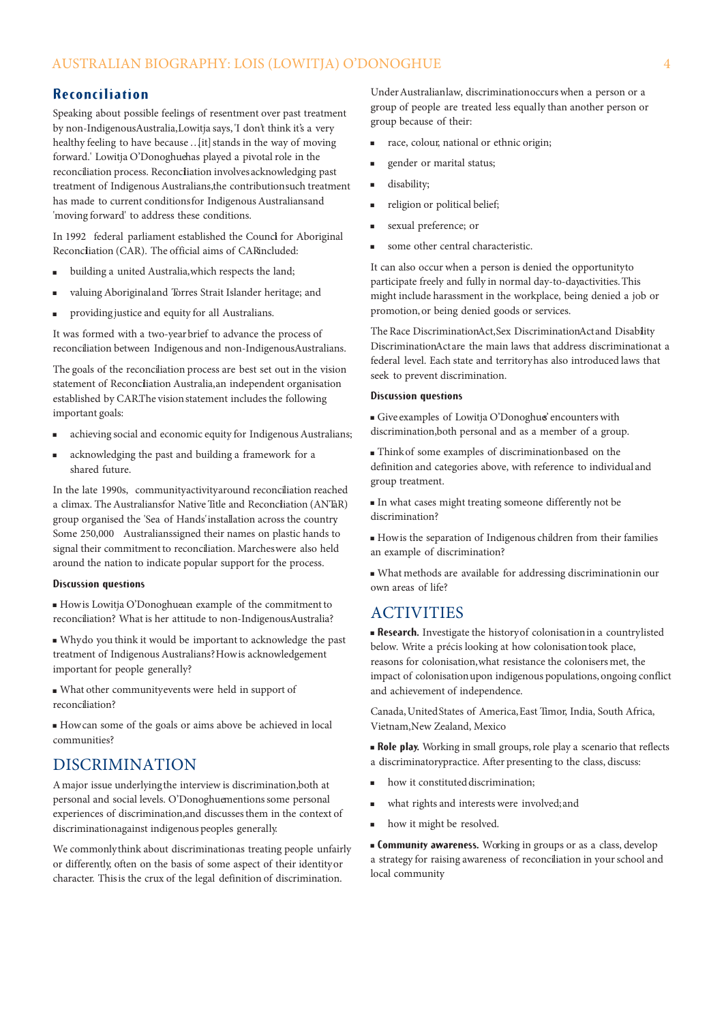## **Reconciliation**

Speaking about possible feelings of resentment over past treatment by non-Indigenous Australia, Lowitja says, 'I don't think it's a very healthy feeling to have because …[it] stands in the way of moving forward.' Lowitja O'Donoghue has played a pivotal role in the reconciliation process. Reconciliation involves acknowledging past treatment of Indigenous Australians, the contribution such treatment has made to current conditions for Indigenous Australians and 'moving forward' to address these conditions.

In 1992 federal parliament established the Counci for Aboriginal Reconcliation (CAR). The official aims of CARincluded:

- building a united Australia, which respects the land;
- valuing Aboriginal and Torres Strait Islander heritage; and
- providing justice and equity for all Australians.

It was formed with a two-year brief to advance the process of reconciliation between Indigenous and non-Indigenous Australians.

The goals of the reconciliation process are best set out in the vision statement of Reconciliation Australia, an independent organisation established by CAR. The vision statement includes the following important goals:

- achieving social and economic equity for Indigenous Australians;
- acknowledging the past and building a framework for a shared future.

In the late 1990s, community activity around reconciliation reached a climax. The Australians for Native Title and Reconcliation (ANTaR) group organised the 'Sea of Hands' installation across the country. Some 250,000 Australians signed their names on plastic hands to signal their commitment to reconciliation. Marches were also held around the nation to indicate popular support for the process.

#### **Discussion questions**

How is Lowitja O'Donoghue an example of the commitment to reconciliation? What is her attitude to non-IndigenousAustralia?

 Why do you think it would be important to acknowledge the past treatment of Indigenous Australians? How is acknowledgement important for people generally?

 What other community events were held in support of reconciliation?

 How can some of the goals or aims above be achieved in local communities?

## DISCRIMINATION

A major issue underlying the interview is discrimination, both at personal and social levels. O'Donoghue mentions some personal experiences of discrimination, and discusses them in the context of discrimination against indigenous peoples generally.

We commonly think about discrimination as treating people unfairly or differently, often on the basis of some aspect of their identity or character. This is the crux of the legal definition of discrimination.

Under Australian law, discrimination occurs when a person or a group of people are treated less equally than another person or group because of their:

- race, colour, national or ethnic origin;
- gender or marital status;
- disability;
- religion or political belief;
- sexual preference; or
- some other central characteristic.

It can also occur when a person is denied the opportunity to participate freely and fully in normal day-to-day activities. This might include harassment in the workplace, being denied a job or promotion, or being denied goods or services.

The Race Discrimination Act, Sex Discrimination Act and Disability Discrimination Act are the main laws that address discrimination at a federal level. Each state and territory has also introduced laws that seek to prevent discrimination.

#### **Discussion questions**

Give examples of Lowitja O'Donoghue' encounters with discrimination, both personal and as a member of a group.

 Think of some examples of discrimination based on the definition and categories above, with reference to individual and group treatment.

 In what cases might treating someone differently not be discrimination?

 How is the separation of Indigenous children from their families an example of discrimination?

 What methods are available for addressing discrimination in our own areas of life?

## ACTIVITIES

**Research.** Investigate the history of colonisation in a countrylisted below. Write a précis looking at how colonisation took place, reasons for colonisation, what resistance the colonisers met, the impact of colonisation upon indigenous populations, ongoing conflict and achievement of independence.

Canada, United States of America, East Timor, India, South Africa, Vietnam, New Zealand, Mexico

 **Role play.** Working in small groups, role play a scenario that reflects a discriminatory<br>practice. After presenting to the class, discuss:

- how it constituted discrimination;
- what rights and interests were involved; and
- how it might be resolved.

 **Community awareness.** Working in groups or as a class, develop a strategy for raising awareness of reconciliation in your school and local community.